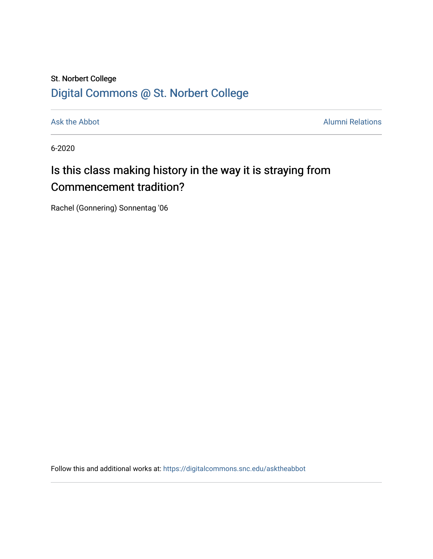## St. Norbert College [Digital Commons @ St. Norbert College](https://digitalcommons.snc.edu/)

[Ask the Abbot](https://digitalcommons.snc.edu/asktheabbot) **Alumni Relations** Alumni Relations

6-2020

## Is this class making history in the way it is straying from Commencement tradition?

Rachel (Gonnering) Sonnentag '06

Follow this and additional works at: [https://digitalcommons.snc.edu/asktheabbot](https://digitalcommons.snc.edu/asktheabbot?utm_source=digitalcommons.snc.edu%2Fasktheabbot%2F155&utm_medium=PDF&utm_campaign=PDFCoverPages)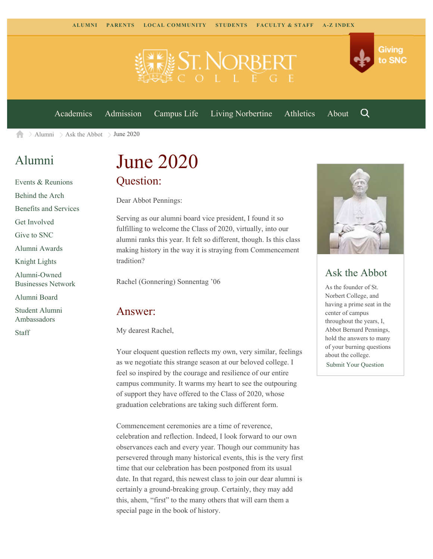

[Academics](https://www.snc.edu/academics) [Admission](https://www.snc.edu/admission) [Campus Life](https://www.snc.edu/campuslife) [Living Norbertine](https://www.snc.edu/livingnorbertine) [Athletics](https://www.snc.edu/athletics) [About](https://www.snc.edu/about)

Q

Giving

to SNC

 $\geq$  [Alumni](https://www.snc.edu/alumni/)  $\geq$  [Ask the Abbot](https://www.snc.edu/alumni/abbot/)  $\geq$  June 2020 A

### [Alumni](https://www.snc.edu/alumni/index.html)

[Events & Reunions](https://www.snc.edu/alumni/event/index.html) [Behind the Arch](https://www.snc.edu/alumni/event/behindthearch/) [Benefits and Services](https://www.snc.edu/alumni/benefits.html) [Get Involved](https://www.snc.edu/alumni/getinvolved.html) [Give to SNC](http://giving.snc.edu/) [Alumni Awards](https://www.snc.edu/alumni/awards/index.html) [Knight Lights](https://www.snc.edu/alumni/knightlights/index.html) [Alumni-Owned](https://www.snc.edu/alumni/directory/index.html) [Businesses Network](https://www.snc.edu/alumni/directory/index.html) [Alumni Board](https://www.snc.edu/alumni/alumniboard.html) [Student Alumni](https://www.snc.edu/alumni/saa.html) [Ambassadors](https://www.snc.edu/alumni/saa.html) [Staff](https://www.snc.edu/alumni/contactus.html)

# June 2020 Question:

Dear Abbot Pennings:

Serving as our alumni board vice president, I found it so fulfilling to welcome the Class of 2020, virtually, into our alumni ranks this year. It felt so different, though. Is this class making history in the way it is straying from Commencement tradition?

Rachel (Gonnering) Sonnentag '06

#### Answer:

My dearest Rachel,

Your eloquent question reflects my own, very similar, feelings as we negotiate this strange season at our beloved college. I feel so inspired by the courage and resilience of our entire campus community. It warms my heart to see the outpouring of support they have offered to the Class of 2020, whose graduation celebrations are taking such different form.

Commencement ceremonies are a time of reverence, celebration and reflection. Indeed, I look forward to our own observances each and every year. Though our community has persevered through many historical events, this is the very first time that our celebration has been postponed from its usual date. In that regard, this newest class to join our dear alumni is certainly a ground-breaking group. Certainly, they may add this, ahem, "first" to the many others that will earn them a special page in the book of history.



#### Ask the Abbot

As the founder of St. Norbert College, and having a prime seat in the center of campus throughout the years, I, Abbot Bernard Pennings, hold the answers to many of your burning questions about the college.

[Submit Your Question](https://www.snc.edu/alumni/abbot/index.html)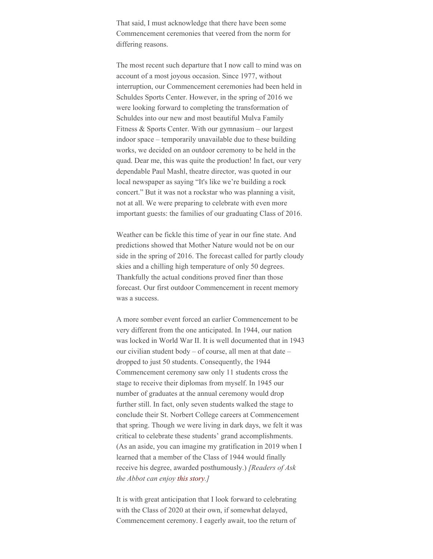That said, I must acknowledge that there have been some Commencement ceremonies that veered from the norm for differing reasons.

The most recent such departure that I now call to mind was on account of a most joyous occasion. Since 1977, without interruption, our Commencement ceremonies had been held in Schuldes Sports Center. However, in the spring of 2016 we were looking forward to completing the transformation of Schuldes into our new and most beautiful Mulva Family Fitness & Sports Center. With our gymnasium – our largest indoor space – temporarily unavailable due to these building works, we decided on an outdoor ceremony to be held in the quad. Dear me, this was quite the production! In fact, our very dependable Paul Mashl, theatre director, was quoted in our local newspaper as saying "It's like we're building a rock concert." But it was not a rockstar who was planning a visit, not at all. We were preparing to celebrate with even more important guests: the families of our graduating Class of 2016.

Weather can be fickle this time of year in our fine state. And predictions showed that Mother Nature would not be on our side in the spring of 2016. The forecast called for partly cloudy skies and a chilling high temperature of only 50 degrees. Thankfully the actual conditions proved finer than those forecast. Our first outdoor Commencement in recent memory was a success.

A more somber event forced an earlier Commencement to be very different from the one anticipated. In 1944, our nation was locked in World War II. It is well documented that in 1943 our civilian student body – of course, all men at that date – dropped to just 50 students. Consequently, the 1944 Commencement ceremony saw only 11 students cross the stage to receive their diplomas from myself. In 1945 our number of graduates at the annual ceremony would drop further still. In fact, only seven students walked the stage to conclude their St. Norbert College careers at Commencement that spring. Though we were living in dark days, we felt it was critical to celebrate these students' grand accomplishments. (As an aside, you can imagine my gratification in 2019 when I learned that a member of the Class of 1944 would finally receive his degree, awarded posthumously.) *[Readers of Ask the Abbot can enjoy [this story](https://www.snc.edu/magazine/2018fallwinter/posthumousdegree.html).]*

It is with great anticipation that I look forward to celebrating with the Class of 2020 at their own, if somewhat delayed, Commencement ceremony. I eagerly await, too the return of